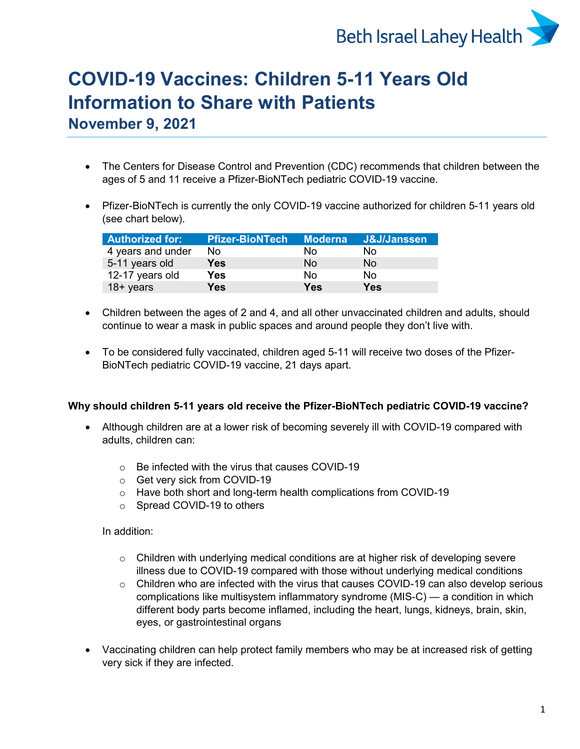

# **COVID-19 Vaccines: Children 5-11 Years Old Information to Share with Patients**

**November 9, 2021**

- The Centers for Disease Control and Prevention (CDC) recommends that children between the ages of 5 and 11 receive a Pfizer-BioNTech pediatric COVID-19 vaccine.
- Pfizer-BioNTech is currently the only COVID-19 vaccine authorized for children 5-11 years old (see chart below).

| <b>Authorized for:</b> | <b>Pfizer-BioNTech</b> | Moderna    | J&J/Janssen |
|------------------------|------------------------|------------|-------------|
| 4 years and under      | No.                    | Nο         | No          |
| 5-11 years old         | Yes                    | No         | No          |
| 12-17 years old        | Yes                    | No.        | N٥          |
| $18 + years$           | Yes                    | <b>Yes</b> | Yes         |

- Children between the ages of 2 and 4, and all other unvaccinated children and adults, should continue to wear a mask in public spaces and around people they don't live with.
- To be considered fully vaccinated, children aged 5-11 will receive two doses of the Pfizer-BioNTech pediatric COVID-19 vaccine, 21 days apart.

## **Why should children 5-11 years old receive the Pfizer-BioNTech pediatric COVID-19 vaccine?**

- Although children are at a lower risk of becoming severely ill with COVID-19 compared with adults, children can:
	- $\circ$  Be infected with the virus that causes COVID-19
	- o Get very sick from COVID-19
	- o Have both short and long-term health complications from COVID-19
	- o Spread COVID-19 to others

In addition:

- $\circ$  Children with underlying medical conditions are at higher risk of developing severe illness due to COVID-19 compared with those without underlying medical conditions
- $\circ$  Children who are infected with the virus that causes COVID-19 can also develop serious complications like multisystem inflammatory syndrome (MIS-C) — a condition in which different body parts become inflamed, including the heart, lungs, kidneys, brain, skin, eyes, or gastrointestinal organs
- Vaccinating children can help protect family members who may be at increased risk of getting very sick if they are infected.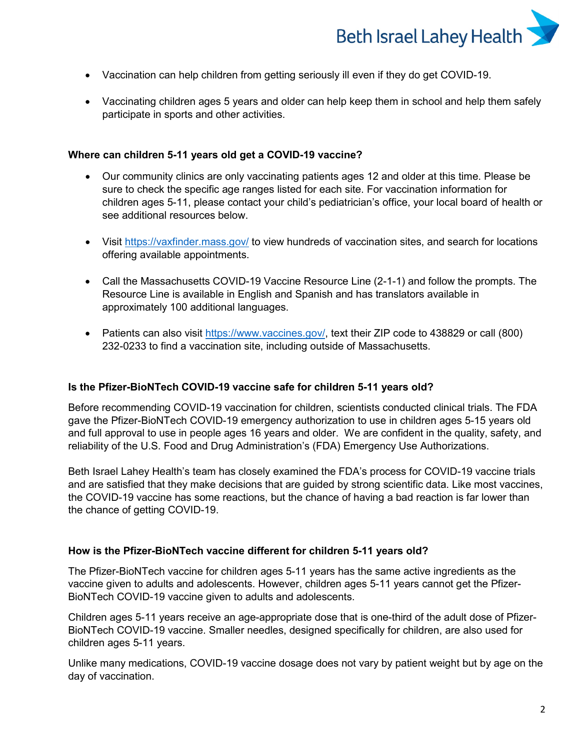

- Vaccination can help children from getting seriously ill even if they do get COVID-19.
- Vaccinating children ages 5 years and older can help keep them in school and help them safely participate in sports and other activities.

#### **Where can children 5-11 years old get a COVID-19 vaccine?**

- Our community clinics are only vaccinating patients ages 12 and older at this time. Please be sure to check the specific age ranges listed for each site. For vaccination information for children ages 5-11, please contact your child's pediatrician's office, your local board of health or see additional resources below.
- Visit<https://vaxfinder.mass.gov/> to view hundreds of vaccination sites, and search for locations offering available appointments.
- Call the Massachusetts COVID-19 Vaccine Resource Line (2-1-1) and follow the prompts. The Resource Line is available in English and Spanish and has translators available in approximately 100 additional languages.
- Patients can also visit [https://www.vaccines.gov/,](https://www.vaccines.gov/) text their ZIP code to 438829 or call (800) 232-0233 to find a vaccination site, including outside of Massachusetts.

### **Is the Pfizer-BioNTech COVID-19 vaccine safe for children 5-11 years old?**

Before recommending COVID-19 vaccination for children, scientists conducted clinical trials. The FDA gave the Pfizer-BioNTech COVID-19 emergency authorization to use in children ages 5-15 years old and full approval to use in people ages 16 years and older. We are confident in the quality, safety, and reliability of the U.S. Food and Drug Administration's (FDA) Emergency Use Authorizations.

Beth Israel Lahey Health's team has closely examined the FDA's process for COVID-19 vaccine trials and are satisfied that they make decisions that are guided by strong scientific data. Like most vaccines, the COVID-19 vaccine has some reactions, but the chance of having a bad reaction is far lower than the chance of getting COVID-19.

### **How is the Pfizer-BioNTech vaccine different for children 5-11 years old?**

The Pfizer-BioNTech vaccine for children ages 5-11 years has the same active ingredients as the vaccine given to adults and adolescents. However, children ages 5-11 years cannot get the Pfizer-BioNTech COVID-19 vaccine given to adults and adolescents.

Children ages 5-11 years receive an age-appropriate dose that is one-third of the adult dose of Pfizer-BioNTech COVID-19 vaccine. Smaller needles, designed specifically for children, are also used for children ages 5-11 years.

Unlike many medications, COVID-19 vaccine dosage does not vary by patient weight but by age on the day of vaccination.